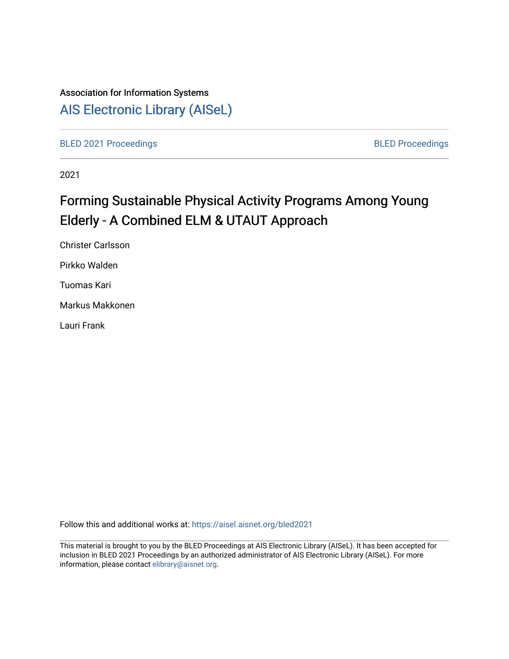# Association for Information Systems

# [AIS Electronic Library \(AISeL\)](https://aisel.aisnet.org/)

[BLED 2021 Proceedings](https://aisel.aisnet.org/bled2021) **BLED Proceedings** 

2021

# Forming Sustainable Physical Activity Programs Among Young Elderly - A Combined ELM & UTAUT Approach

Christer Carlsson Pirkko Walden Tuomas Kari Markus Makkonen Lauri Frank

Follow this and additional works at: [https://aisel.aisnet.org/bled2021](https://aisel.aisnet.org/bled2021?utm_source=aisel.aisnet.org%2Fbled2021%2F34&utm_medium=PDF&utm_campaign=PDFCoverPages) 

This material is brought to you by the BLED Proceedings at AIS Electronic Library (AISeL). It has been accepted for inclusion in BLED 2021 Proceedings by an authorized administrator of AIS Electronic Library (AISeL). For more information, please contact [elibrary@aisnet.org.](mailto:elibrary@aisnet.org%3E)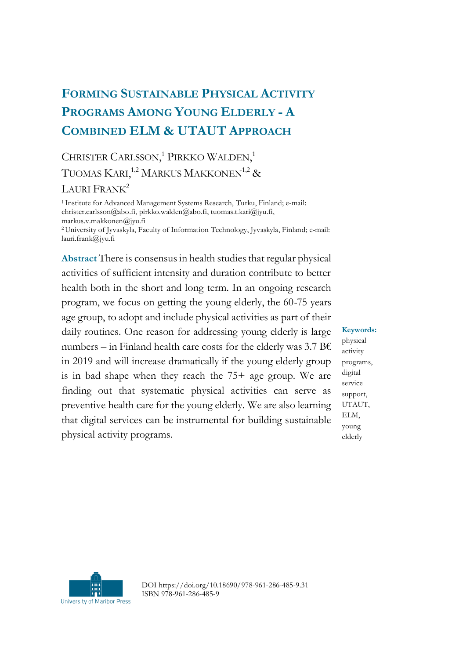# **FORMING SUSTAINABLE PHYSICAL ACTIVITY PROGRAMS AMONG YOUNG ELDERLY - A COMBINED ELM & UTAUT APPROACH**

## CHRISTER CARLSSON,<sup>1</sup> PIRKKO WALDEN,<sup>1</sup> TUOMAS KARI,<sup>1,2</sup> MARKUS MAKKONEN<sup>1,2</sup> &

#### LAURI FRANK<sup>2</sup>

<sup>1</sup>Institute for Advanced Management Systems Research, Turku, Finland; e-mail: christer.carlsson@abo.fi, pirkko.walden@abo.fi, tuomas.t.kari@jyu.fi, markus.v.makkonen@jyu.fi

<sup>2</sup>University of Jyvaskyla, Faculty of Information Technology, Jyvaskyla, Finland; e-mail: lauri.frank@jyu.fi

**Abstract** There is consensus in health studies that regular physical activities of sufficient intensity and duration contribute to better health both in the short and long term. In an ongoing research program, we focus on getting the young elderly, the 60-75 years age group, to adopt and include physical activities as part of their daily routines. One reason for addressing young elderly is large numbers – in Finland health care costs for the elderly was 3.7 B $\epsilon$ in 2019 and will increase dramatically if the young elderly group is in bad shape when they reach the 75+ age group. We are finding out that systematic physical activities can serve as preventive health care for the young elderly. We are also learning that digital services can be instrumental for building sustainable physical activity programs.

#### **Keywords:**

physical activity programs, digital service support, UTAUT, ELM, young elderly



DOI https://doi.org/10.18690/978-961-286-485-9.31 ISBN 978-961-286-485-9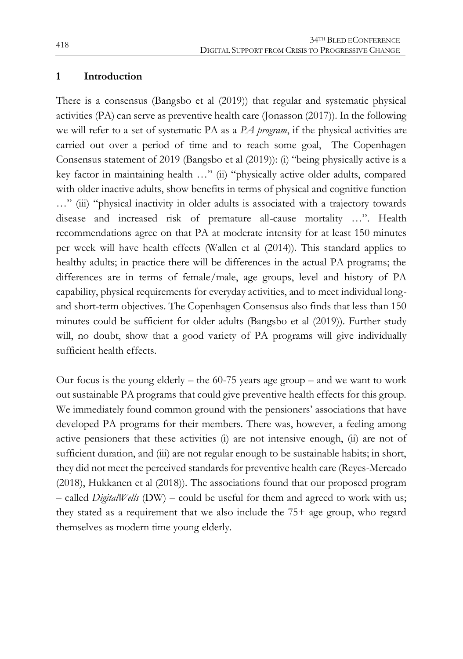#### **1 Introduction**

There is a consensus (Bangsbo et al (2019)) that regular and systematic physical activities (PA) can serve as preventive health care (Jonasson (2017)). In the following we will refer to a set of systematic PA as a *PA program*, if the physical activities are carried out over a period of time and to reach some goal, The Copenhagen Consensus statement of 2019 (Bangsbo et al (2019)): (i) "being physically active is a key factor in maintaining health …" (ii) "physically active older adults, compared with older inactive adults, show benefits in terms of physical and cognitive function …" (iii) "physical inactivity in older adults is associated with a trajectory towards disease and increased risk of premature all-cause mortality …". Health recommendations agree on that PA at moderate intensity for at least 150 minutes per week will have health effects (Wallen et al (2014)). This standard applies to healthy adults; in practice there will be differences in the actual PA programs; the differences are in terms of female/male, age groups, level and history of PA capability, physical requirements for everyday activities, and to meet individual longand short-term objectives. The Copenhagen Consensus also finds that less than 150 minutes could be sufficient for older adults (Bangsbo et al (2019)). Further study will, no doubt, show that a good variety of PA programs will give individually sufficient health effects.

Our focus is the young elderly – the  $60-75$  years age group – and we want to work out sustainable PA programs that could give preventive health effects for this group. We immediately found common ground with the pensioners' associations that have developed PA programs for their members. There was, however, a feeling among active pensioners that these activities (i) are not intensive enough, (ii) are not of sufficient duration, and (iii) are not regular enough to be sustainable habits; in short, they did not meet the perceived standards for preventive health care (Reyes-Mercado (2018), Hukkanen et al (2018)). The associations found that our proposed program – called *DigitalWells* (DW) – could be useful for them and agreed to work with us; they stated as a requirement that we also include the 75+ age group, who regard themselves as modern time young elderly.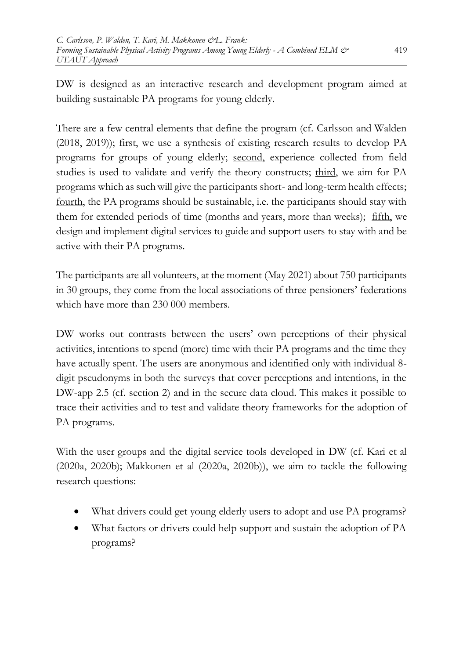DW is designed as an interactive research and development program aimed at building sustainable PA programs for young elderly.

There are a few central elements that define the program (cf. Carlsson and Walden (2018, 2019)); first, we use a synthesis of existing research results to develop PA programs for groups of young elderly; second, experience collected from field studies is used to validate and verify the theory constructs; third, we aim for PA programs which as such will give the participants short- and long-term health effects; fourth, the PA programs should be sustainable, i.e. the participants should stay with them for extended periods of time (months and years, more than weeks); fifth, we design and implement digital services to guide and support users to stay with and be active with their PA programs.

The participants are all volunteers, at the moment (May 2021) about 750 participants in 30 groups, they come from the local associations of three pensioners' federations which have more than 230 000 members.

DW works out contrasts between the users' own perceptions of their physical activities, intentions to spend (more) time with their PA programs and the time they have actually spent. The users are anonymous and identified only with individual 8 digit pseudonyms in both the surveys that cover perceptions and intentions, in the DW-app 2.5 (cf. section 2) and in the secure data cloud. This makes it possible to trace their activities and to test and validate theory frameworks for the adoption of PA programs.

With the user groups and the digital service tools developed in DW (cf. Kari et al (2020a, 2020b); Makkonen et al (2020a, 2020b)), we aim to tackle the following research questions:

- What drivers could get young elderly users to adopt and use PA programs?
- What factors or drivers could help support and sustain the adoption of PA programs?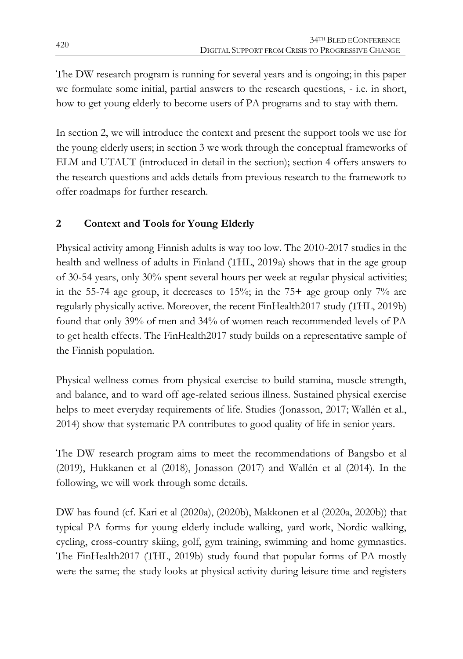The DW research program is running for several years and is ongoing; in this paper we formulate some initial, partial answers to the research questions, - i.e. in short, how to get young elderly to become users of PA programs and to stay with them.

In section 2, we will introduce the context and present the support tools we use for the young elderly users; in section 3 we work through the conceptual frameworks of ELM and UTAUT (introduced in detail in the section); section 4 offers answers to the research questions and adds details from previous research to the framework to offer roadmaps for further research.

## **2 Context and Tools for Young Elderly**

Physical activity among Finnish adults is way too low. The 2010-2017 studies in the health and wellness of adults in Finland (THL, 2019a) shows that in the age group of 30-54 years, only 30% spent several hours per week at regular physical activities; in the 55-74 age group, it decreases to  $15\%$ ; in the 75+ age group only 7% are regularly physically active. Moreover, the recent FinHealth2017 study (THL, 2019b) found that only 39% of men and 34% of women reach recommended levels of PA to get health effects. The FinHealth2017 study builds on a representative sample of the Finnish population.

Physical wellness comes from physical exercise to build stamina, muscle strength, and balance, and to ward off age-related serious illness. Sustained physical exercise helps to meet everyday requirements of life. Studies (Jonasson, 2017; Wallén et al., 2014) show that systematic PA contributes to good quality of life in senior years.

The DW research program aims to meet the recommendations of Bangsbo et al (2019), Hukkanen et al (2018), Jonasson (2017) and Wallén et al (2014). In the following, we will work through some details.

DW has found (cf. Kari et al (2020a), (2020b), Makkonen et al (2020a, 2020b)) that typical PA forms for young elderly include walking, yard work, Nordic walking, cycling, cross-country skiing, golf, gym training, swimming and home gymnastics. The FinHealth2017 (THL, 2019b) study found that popular forms of PA mostly were the same; the study looks at physical activity during leisure time and registers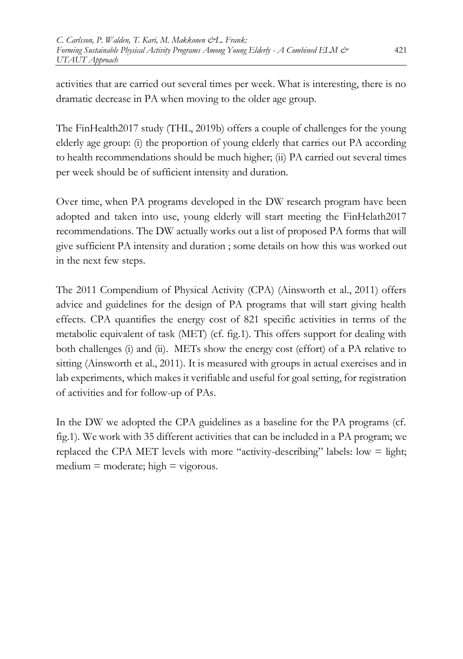activities that are carried out several times per week. What is interesting, there is no dramatic decrease in PA when moving to the older age group.

The FinHealth2017 study (THL, 2019b) offers a couple of challenges for the young elderly age group: (i) the proportion of young elderly that carries out PA according to health recommendations should be much higher; (ii) PA carried out several times per week should be of sufficient intensity and duration.

Over time, when PA programs developed in the DW research program have been adopted and taken into use, young elderly will start meeting the FinHelath2017 recommendations. The DW actually works out a list of proposed PA forms that will give sufficient PA intensity and duration ; some details on how this was worked out in the next few steps.

The 2011 Compendium of Physical Activity (CPA) (Ainsworth et al., 2011) offers advice and guidelines for the design of PA programs that will start giving health effects. CPA quantifies the energy cost of 821 specific activities in terms of the metabolic equivalent of task (MET) (cf. fig.1). This offers support for dealing with both challenges (i) and (ii). METs show the energy cost (effort) of a PA relative to sitting (Ainsworth et al., 2011). It is measured with groups in actual exercises and in lab experiments, which makes it verifiable and useful for goal setting, for registration of activities and for follow-up of PAs.

In the DW we adopted the CPA guidelines as a baseline for the PA programs (cf. fig.1). We work with 35 different activities that can be included in a PA program; we replaced the CPA MET levels with more "activity-describing" labels: low  $=$  light;  $median = moderate$ ; high  $= vigorous$ .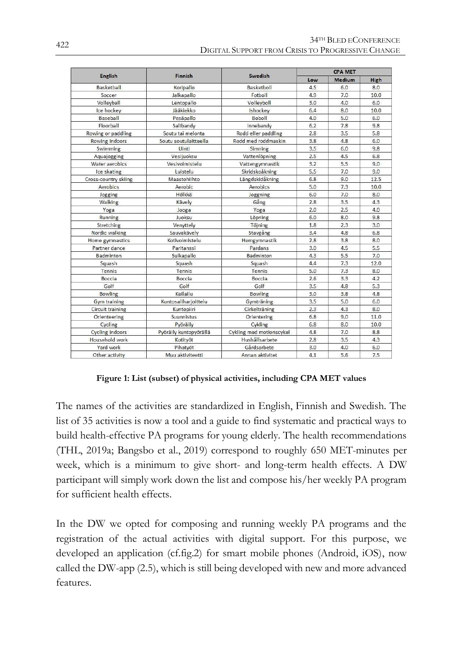| English                 | <b>Finnish</b>         | Swedish                  | <b>CPA MET</b> |        |      |
|-------------------------|------------------------|--------------------------|----------------|--------|------|
|                         |                        |                          | Low            | Medium | High |
| Basketball              | Koripallo              | Basketboll               | 4.5            | 6.0    | 8.0  |
| Soccer                  | Jalkapallo             | Fotboll                  | 4.9            | 7.0    | 10.0 |
| Volleyball              | Lentopallo             | Volleyboll               | 3.0            | 4.0    | 6.0  |
| Ice hockey              | Jääkiekko              | Ishockey                 | 6.4            | 8.0    | 10.0 |
| Baseball                | Pesäpallo              | Boboll                   | 4.0            | 5.0    | 6.0  |
| Floorball               | Salibandy              | Innebandy                | 6.2            | 7.8    | 9.8  |
| Rowing or paddling      | Soutu tai melonta      | Rodd eller paddling      | 2.8            | 3.5    | 5.8  |
| Rowing indoors          | Soutu soutulaitteella  | Rodd med roddmaskin      | 3.8            | 4.8    | 6.0  |
| Swimming                | Uinti                  | Simning                  | 3.5            | 6.0    | 9.8  |
| Aquajogging             | Vesijuoksu             | Vattenlöpning            | 2.5            | 4.5    | 6.8  |
| Water aerobics          | Vesivoimistelu         | Vattengymnastik          | 3.2            | 5.5    | 9.0  |
| Ice skating             | Luistelu               | Skridskoåkning           | 5.5            | 7.0    | 9.0  |
| Cross-country skiing    | Maastohiihto           | Längdskidåkning          | 6.8            | 9.0    | 12.5 |
| Aerobics                | Aerobic                | Aerobics                 | 5.0            | 7.3    | 10.0 |
| Jogging                 | Hölkkä                 | Joggning                 | 6.0            | 7.0    | 8.0  |
| Walking                 | Kävely                 | Gång                     | 2.8            | 3.5    | 4.3  |
| Yoga                    | Jooga                  | Yoga                     | 2.0            | 2.5    | 4.0  |
| Running                 | Juoksu                 | Löpning                  | 6.0            | 8.0    | 9.8  |
| Stretching              | Venyttely              | Töjning                  | 1.8            | 2.3    | 3.0  |
| Nordic walking          | Sauvakävely            | Stavgång                 | 3.4            | 4.8    | 6.8  |
| Home gymnastics         | Kotivoimistelu         | Hemgymnastik             | 2.8            | 3.8    | 8.0  |
| Partner dance           | Paritanssi             | Pardans                  | 3.0            | 4.5    | 5.5  |
| <b>Badminton</b>        | Sulkapallo             | Badminton                | 4.3            | 5.5    | 7.0  |
| Squash                  | Squash                 | Squash                   | 4.4            | 7.3    | 12.0 |
| Tennis                  | Tennis                 | Tennis                   | 5.0            | 7.3    | 8.0  |
| Boccia                  | Boccia                 | Boccia                   | 2.6            | 3.3    | 4.2  |
| Golf                    | Golf                   | Golf                     | 3.5            | 4.8    | 5.3  |
| <b>Bowling</b>          | Keilailu               | <b>Bowling</b>           | 3.0            | 3.8    | 4.8  |
| <b>Gym training</b>     | Kuntosaliharjoittelu   | Gymträning               | 3.5            | 5.0    | 6.0  |
| <b>Circuit training</b> | Kuntopiiri             | Cirkelträning            | 2.3            | 4.3    | 8.0  |
| Orienteering            | <b>Suunnistus</b>      | Orientering              | 6.8            | 9.0    | 11.0 |
| Cycling                 | Pyöräily               | Cykling                  | 6.8            | 8.0    | 10.0 |
| <b>Cycling indoors</b>  | Pyöräily kuntopyörällä | Cykling med motionscykel | 4.8            | 7.0    | 8.8  |
| Household work          | Kotityöt               | Hushållsarbete           | 2.8            | 3.5    | 4.3  |
| Yard work               | Pihatyöt               | Gårdsarbete              | 3.0            | 4.0    | 6.0  |
| Other activity          | Muu aktiviteetti       | Annan aktivitet          | 4.1            | 5.6    | 7.5  |

**Figure 1: List (subset) of physical activities, including CPA MET values**

The names of the activities are standardized in English, Finnish and Swedish. The list of 35 activities is now a tool and a guide to find systematic and practical ways to build health-effective PA programs for young elderly. The health recommendations (THL, 2019a; Bangsbo et al., 2019) correspond to roughly 650 MET-minutes per week, which is a minimum to give short- and long-term health effects. A DW participant will simply work down the list and compose his/her weekly PA program for sufficient health effects.

In the DW we opted for composing and running weekly PA programs and the registration of the actual activities with digital support. For this purpose, we developed an application (cf.fig.2) for smart mobile phones (Android, iOS), now called the DW-app (2.5), which is still being developed with new and more advanced features.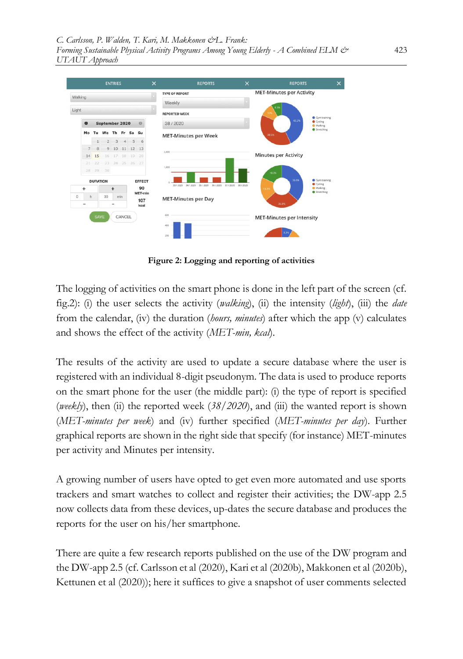*C. Carlsson, P. Walden, T. Kari, M. Makkonen &L. Frank: Forming Sustainable Physical Activity Programs Among Young Elderly - A Combined ELM & UTAUT Approach*

|         |                          |                           |          | <b>ENTRIES</b>           |        |       |               | $\times$             | <b>REPORTS</b>                | $\times$            | <b>REPORTS</b>                   |                           | $\times$ |  |
|---------|--------------------------|---------------------------|----------|--------------------------|--------|-------|---------------|----------------------|-------------------------------|---------------------|----------------------------------|---------------------------|----------|--|
| Walking |                          |                           |          |                          |        |       |               |                      | <b>TYPE OF REPORT</b>         |                     | <b>MET-Minutes per Activity</b>  |                           |          |  |
|         |                          |                           |          |                          |        |       |               | Weekly               |                               |                     |                                  |                           |          |  |
| Light   |                          |                           |          |                          |        |       |               | <b>REPORTED WEEK</b> |                               |                     | 8.35<br>109                      | Gym training              |          |  |
|         | $\bullet$                | September 2020<br>$\circ$ |          |                          |        |       |               | 38 / 2020            |                               |                     | 43.2%                            | Cycling<br><b>Walking</b> |          |  |
|         | Mo                       | Tu                        |          | We Th Fr                 |        | Sa Su |               |                      | <b>MET-Minutes per Week</b>   |                     | 38.5%                            | Stretching                |          |  |
|         |                          |                           |          | 23456                    |        |       |               |                      |                               |                     |                                  |                           |          |  |
|         | 7                        | 8                         |          | 9 10 11 12 13            |        |       |               | 2,000                |                               |                     |                                  |                           |          |  |
|         | 14                       | 15                        |          | 16 17 18                 |        | 19    | 20            |                      |                               |                     | <b>Minutes per Activity</b>      |                           |          |  |
|         | 21                       | 22                        |          | 23 24 25 26 27           |        |       |               |                      |                               |                     |                                  |                           |          |  |
|         |                          |                           | 28 29 30 |                          |        |       |               | 1,000                |                               |                     | 18.3%                            |                           |          |  |
|         |                          | <b>DURATION</b>           |          |                          |        |       | <b>EFFECT</b> | n.                   |                               |                     | 36.6%                            | Gym training              |          |  |
|         | ٠                        |                           |          | $\ddot{}$                |        |       | 90            | 33/2020              | 34 / 2020 35 / 2020 36 / 2020 | 37 / 2020 38 / 2020 | 18.3%                            | Cycling<br><b>Walking</b> |          |  |
|         | h                        | 30<br>min                 |          | MET-min                  |        |       |               |                      | Stretching                    |                     |                                  |                           |          |  |
|         | $\overline{\phantom{0}}$ |                           |          | $\overline{\phantom{a}}$ |        |       | 107<br>kcal   |                      | <b>MET-Minutes per Day</b>    |                     | 26.8%                            |                           |          |  |
|         |                          |                           |          |                          |        |       |               |                      |                               |                     |                                  |                           |          |  |
|         |                          | <b>SAVE</b>               |          |                          | CANCEL |       |               | 600                  |                               |                     | <b>MET-Minutes per Intensity</b> |                           |          |  |
|         |                          |                           |          |                          |        |       |               | 400                  |                               |                     |                                  |                           |          |  |
|         |                          |                           |          |                          |        |       |               | 200                  |                               |                     |                                  |                           |          |  |

**Figure 2: Logging and reporting of activities**

The logging of activities on the smart phone is done in the left part of the screen (cf. fig.2): (i) the user selects the activity (*walking*), (ii) the intensity (*light*), (iii) the *date* from the calendar, (iv) the duration (*hours, minutes*) after which the app (v) calculates and shows the effect of the activity (*MET-min, kcal*).

The results of the activity are used to update a secure database where the user is registered with an individual 8-digit pseudonym. The data is used to produce reports on the smart phone for the user (the middle part): (i) the type of report is specified (*weekly*), then (ii) the reported week  $(38/2020)$ , and (iii) the wanted report is shown (*MET-minutes per week*) and (iv) further specified (*MET-minutes per day*). Further graphical reports are shown in the right side that specify (for instance) MET-minutes per activity and Minutes per intensity.

A growing number of users have opted to get even more automated and use sports trackers and smart watches to collect and register their activities; the DW-app 2.5 now collects data from these devices, up-dates the secure database and produces the reports for the user on his/her smartphone.

There are quite a few research reports published on the use of the DW program and the DW-app 2.5 (cf. Carlsson et al (2020), Kari et al (2020b), Makkonen et al (2020b), Kettunen et al (2020)); here it suffices to give a snapshot of user comments selected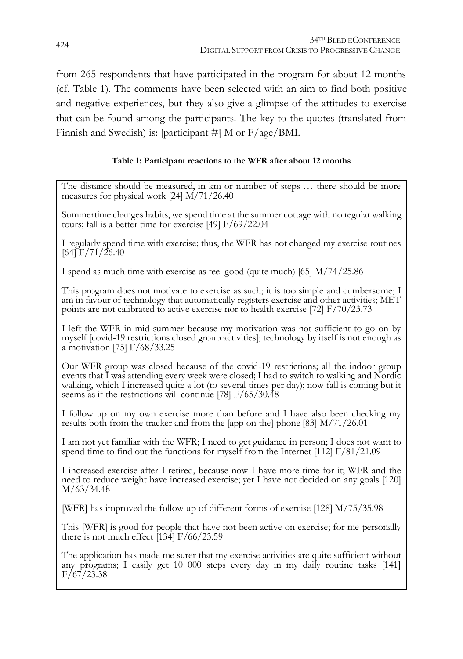from 265 respondents that have participated in the program for about 12 months (cf. Table 1). The comments have been selected with an aim to find both positive and negative experiences, but they also give a glimpse of the attitudes to exercise that can be found among the participants. The key to the quotes (translated from Finnish and Swedish) is: [participant #] M or F/age/BMI.

#### **Table 1: Participant reactions to the WFR after about 12 months**

The distance should be measured, in km or number of steps … there should be more measures for physical work [24] M/71/26.40

Summertime changes habits, we spend time at the summer cottage with no regular walking tours; fall is a better time for exercise [49] F/69/22.04

I regularly spend time with exercise; thus, the WFR has not changed my exercise routines  $[64]$  F/71/26.40

I spend as much time with exercise as feel good (quite much) [65] M/74/25.86

This program does not motivate to exercise as such; it is too simple and cumbersome; I am in favour of technology that automatically registers exercise and other activities; MET points are not calibrated to active exercise nor to health exercise [72] F/70/23.73

I left the WFR in mid-summer because my motivation was not sufficient to go on by myself [covid-19 restrictions closed group activities]; technology by itself is not enough as a motivation [75] F/68/33.25

Our WFR group was closed because of the covid-19 restrictions; all the indoor group events that I was attending every week were closed; I had to switch to walking and Nordic walking, which I increased quite a lot (to several times per day); now fall is coming but it seems as if the restrictions will continue [78]  $F/65/30.48$ 

I follow up on my own exercise more than before and I have also been checking my results both from the tracker and from the [app on the] phone [83] M/71/26.01

I am not yet familiar with the WFR; I need to get guidance in person; I does not want to spend time to find out the functions for myself from the Internet [112] F/81/21.09

I increased exercise after I retired, because now I have more time for it; WFR and the need to reduce weight have increased exercise; yet I have not decided on any goals [120] M/63/34.48

[WFR] has improved the follow up of different forms of exercise [128] M/75/35.98

This [WFR] is good for people that have not been active on exercise; for me personally there is not much effect [134] F/66/23.59

The application has made me surer that my exercise activities are quite sufficient without any programs; I easily get 10 000 steps every day in my daily routine tasks [141]  $F/67/23.38$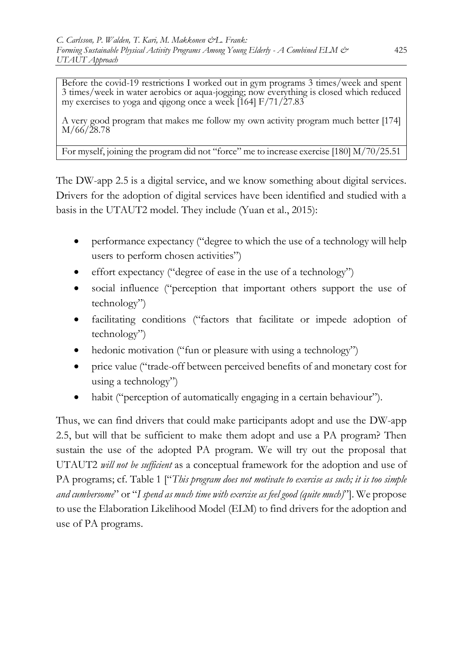Before the covid-19 restrictions I worked out in gym programs 3 times/week and spent 3 times/week in water aerobics or aqua-jogging; now everything is closed which reduced my exercises to yoga and qigong once a week  $[164]$  F/71/27.83

A very good program that makes me follow my own activity program much better [174] M/66/28.78

For myself, joining the program did not "force" me to increase exercise [180] M/70/25.51

The DW-app 2.5 is a digital service, and we know something about digital services. Drivers for the adoption of digital services have been identified and studied with a basis in the UTAUT2 model. They include (Yuan et al., 2015):

- performance expectancy ("degree to which the use of a technology will help users to perform chosen activities")
- effort expectancy ("degree of ease in the use of a technology")
- social influence ("perception that important others support the use of technology")
- facilitating conditions ("factors that facilitate or impede adoption of technology")
- hedonic motivation ("fun or pleasure with using a technology")
- price value ("trade-off between perceived benefits of and monetary cost for using a technology")
- habit ("perception of automatically engaging in a certain behaviour").

Thus, we can find drivers that could make participants adopt and use the DW-app 2.5, but will that be sufficient to make them adopt and use a PA program? Then sustain the use of the adopted PA program. We will try out the proposal that UTAUT2 *will not be sufficient* as a conceptual framework for the adoption and use of PA programs; cf. Table 1 ["*This program does not motivate to exercise as such; it is too simple and cumbersome*" or "*I spend as much time with exercise as feel good (quite much)*"]. We propose to use the Elaboration Likelihood Model (ELM) to find drivers for the adoption and use of PA programs.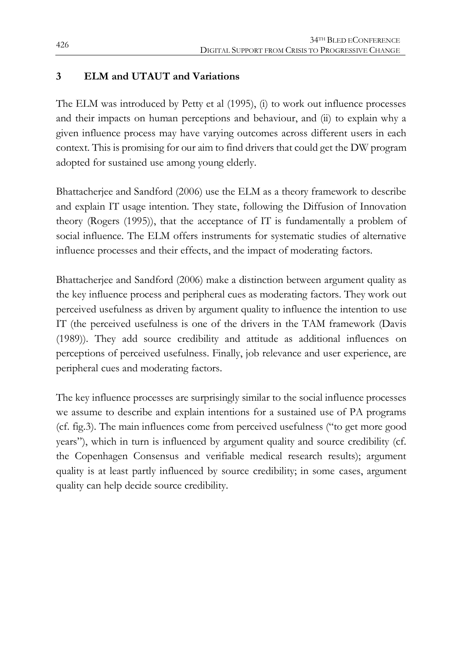### **3 ELM and UTAUT and Variations**

The ELM was introduced by Petty et al (1995), (i) to work out influence processes and their impacts on human perceptions and behaviour, and (ii) to explain why a given influence process may have varying outcomes across different users in each context. This is promising for our aim to find drivers that could get the DW program adopted for sustained use among young elderly.

Bhattacherjee and Sandford (2006) use the ELM as a theory framework to describe and explain IT usage intention. They state, following the Diffusion of Innovation theory (Rogers (1995)), that the acceptance of IT is fundamentally a problem of social influence. The ELM offers instruments for systematic studies of alternative influence processes and their effects, and the impact of moderating factors.

Bhattacherjee and Sandford (2006) make a distinction between argument quality as the key influence process and peripheral cues as moderating factors. They work out perceived usefulness as driven by argument quality to influence the intention to use IT (the perceived usefulness is one of the drivers in the TAM framework (Davis (1989)). They add source credibility and attitude as additional influences on perceptions of perceived usefulness. Finally, job relevance and user experience, are peripheral cues and moderating factors.

The key influence processes are surprisingly similar to the social influence processes we assume to describe and explain intentions for a sustained use of PA programs (cf. fig.3). The main influences come from perceived usefulness ("to get more good years"), which in turn is influenced by argument quality and source credibility (cf. the Copenhagen Consensus and verifiable medical research results); argument quality is at least partly influenced by source credibility; in some cases, argument quality can help decide source credibility.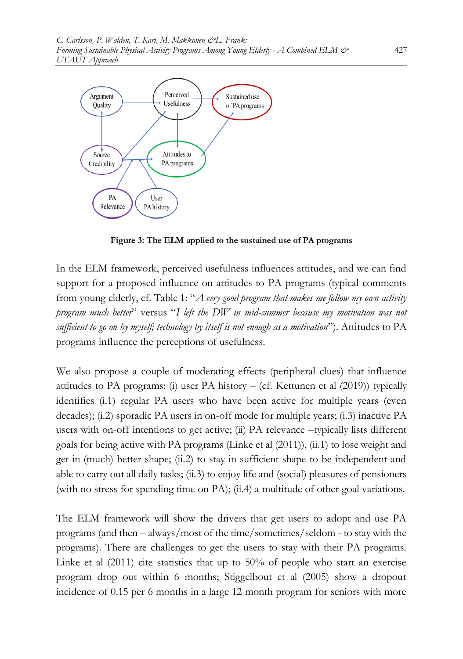

**Figure 3: The ELM applied to the sustained use of PA programs**

In the ELM framework, perceived usefulness influences attitudes, and we can find support for a proposed influence on attitudes to PA programs (typical comments from young elderly, cf. Table 1: "*A very good program that makes me follow my own activity program much better*" versus "*I left the DW in mid-summer because my motivation was not sufficient to go on by myself; technology by itself is not enough as a motivation*"). Attitudes to PA programs influence the perceptions of usefulness.

We also propose a couple of moderating effects (peripheral clues) that influence attitudes to PA programs: (i) user PA history – (cf. Kettunen et al (2019)) typically identifies (i.1) regular PA users who have been active for multiple years (even decades); (i.2) sporadic PA users in on-off mode for multiple years; (i.3) inactive PA users with on-off intentions to get active; (ii) PA relevance –typically lists different goals for being active with PA programs (Linke et al (2011)), (ii.1) to lose weight and get in (much) better shape; (ii.2) to stay in sufficient shape to be independent and able to carry out all daily tasks; (ii.3) to enjoy life and (social) pleasures of pensioners (with no stress for spending time on PA); (ii.4) a multitude of other goal variations.

The ELM framework will show the drivers that get users to adopt and use PA programs (and then – always/most of the time/sometimes/seldom - to stay with the programs). There are challenges to get the users to stay with their PA programs. Linke et al (2011) cite statistics that up to 50% of people who start an exercise program drop out within 6 months; Stiggelbout et al (2005) show a dropout incidence of 0.15 per 6 months in a large 12 month program for seniors with more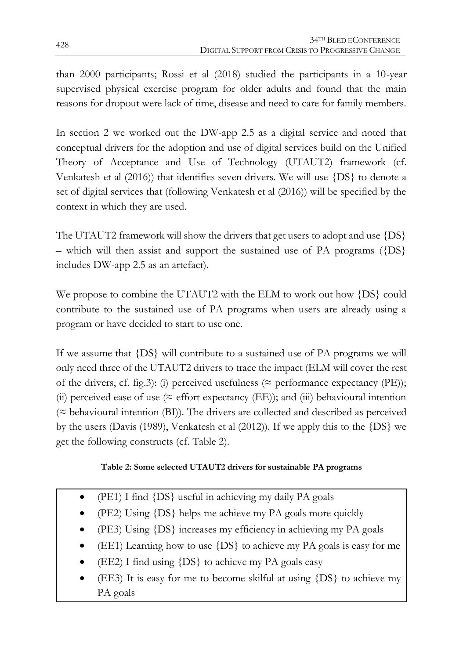than 2000 participants; Rossi et al (2018) studied the participants in a 10-year supervised physical exercise program for older adults and found that the main reasons for dropout were lack of time, disease and need to care for family members.

In section 2 we worked out the DW-app 2.5 as a digital service and noted that conceptual drivers for the adoption and use of digital services build on the Unified Theory of Acceptance and Use of Technology (UTAUT2) framework (cf. Venkatesh et al (2016)) that identifies seven drivers. We will use {DS} to denote a set of digital services that (following Venkatesh et al (2016)) will be specified by the context in which they are used.

The UTAUT2 framework will show the drivers that get users to adopt and use  $\{DS\}$ – which will then assist and support the sustained use of PA programs  $({\text{DS}}$ } includes DW-app 2.5 as an artefact).

We propose to combine the UTAUT2 with the ELM to work out how {DS} could contribute to the sustained use of PA programs when users are already using a program or have decided to start to use one.

If we assume that {DS} will contribute to a sustained use of PA programs we will only need three of the UTAUT2 drivers to trace the impact (ELM will cover the rest of the drivers, cf. fig.3): (i) perceived usefulness ( $\approx$  performance expectancy (PE)); (ii) perceived ease of use ( $\approx$  effort expectancy (EE)); and (iii) behavioural intention  $(z$  behavioural intention (BI)). The drivers are collected and described as perceived by the users (Davis (1989), Venkatesh et al (2012)). If we apply this to the {DS} we get the following constructs (cf. Table 2).

#### **Table 2: Some selected UTAUT2 drivers for sustainable PA programs**

- (PE1) I find {DS} useful in achieving my daily PA goals
- (PE2) Using {DS} helps me achieve my PA goals more quickly
- (PE3) Using {DS} increases my efficiency in achieving my PA goals
- (EE1) Learning how to use {DS} to achieve my PA goals is easy for me
- (EE2) I find using {DS} to achieve my PA goals easy
- (EE3) It is easy for me to become skilful at using {DS} to achieve my PA goals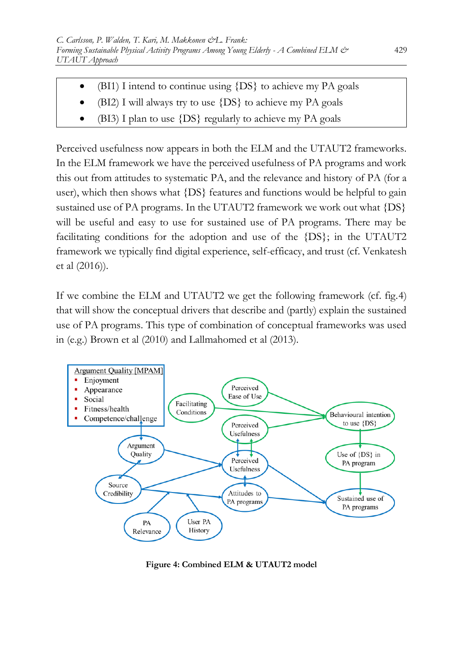- $\bullet$  (BI1) I intend to continue using  $\{DS\}$  to achieve my PA goals
- $\bullet$  (BI2) I will always try to use  $\{DS\}$  to achieve my PA goals
- (BI3) I plan to use {DS} regularly to achieve my PA goals

Perceived usefulness now appears in both the ELM and the UTAUT2 frameworks. In the ELM framework we have the perceived usefulness of PA programs and work this out from attitudes to systematic PA, and the relevance and history of PA (for a user), which then shows what {DS} features and functions would be helpful to gain sustained use of PA programs. In the UTAUT2 framework we work out what {DS} will be useful and easy to use for sustained use of PA programs. There may be facilitating conditions for the adoption and use of the {DS}; in the UTAUT2 framework we typically find digital experience, self-efficacy, and trust (cf. Venkatesh et al (2016)).

If we combine the ELM and UTAUT2 we get the following framework (cf. fig.4) that will show the conceptual drivers that describe and (partly) explain the sustained use of PA programs. This type of combination of conceptual frameworks was used in (e.g.) Brown et al (2010) and Lallmahomed et al (2013).



**Figure 4: Combined ELM & UTAUT2 model**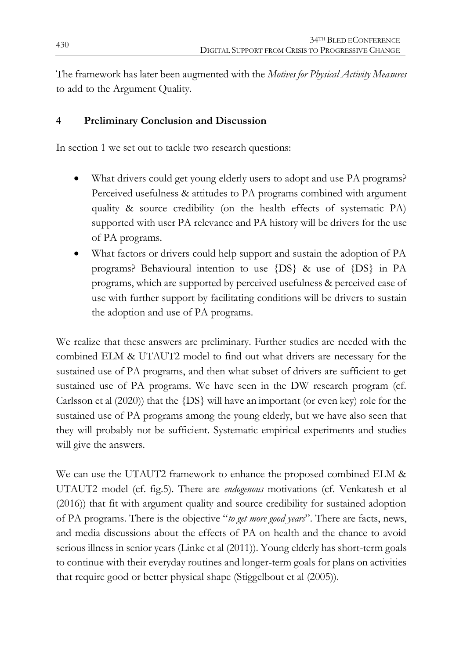The framework has later been augmented with the *Motives for Physical Activity Measures* to add to the Argument Quality.

## **4 Preliminary Conclusion and Discussion**

In section 1 we set out to tackle two research questions:

- What drivers could get young elderly users to adopt and use PA programs? Perceived usefulness & attitudes to PA programs combined with argument quality & source credibility (on the health effects of systematic PA) supported with user PA relevance and PA history will be drivers for the use of PA programs.
- What factors or drivers could help support and sustain the adoption of PA programs? Behavioural intention to use {DS} & use of {DS} in PA programs, which are supported by perceived usefulness & perceived ease of use with further support by facilitating conditions will be drivers to sustain the adoption and use of PA programs.

We realize that these answers are preliminary. Further studies are needed with the combined ELM & UTAUT2 model to find out what drivers are necessary for the sustained use of PA programs, and then what subset of drivers are sufficient to get sustained use of PA programs. We have seen in the DW research program (cf. Carlsson et al (2020)) that the {DS} will have an important (or even key) role for the sustained use of PA programs among the young elderly, but we have also seen that they will probably not be sufficient. Systematic empirical experiments and studies will give the answers.

We can use the UTAUT2 framework to enhance the proposed combined ELM & UTAUT2 model (cf. fig.5). There are *endogenous* motivations (cf. Venkatesh et al (2016)) that fit with argument quality and source credibility for sustained adoption of PA programs. There is the objective "*to get more good years*". There are facts, news, and media discussions about the effects of PA on health and the chance to avoid serious illness in senior years (Linke et al (2011)). Young elderly has short-term goals to continue with their everyday routines and longer-term goals for plans on activities that require good or better physical shape (Stiggelbout et al (2005)).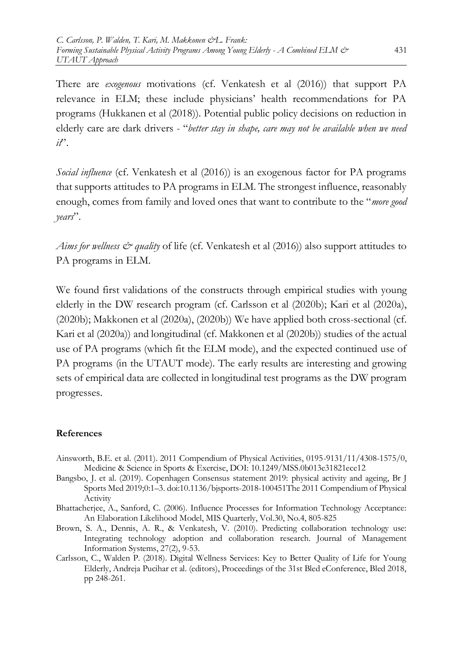There are *exogenous* motivations (cf. Venkatesh et al (2016)) that support PA relevance in ELM; these include physicians' health recommendations for PA programs (Hukkanen et al (2018)). Potential public policy decisions on reduction in elderly care are dark drivers - "*better stay in shape, care may not be available when we need it*".

*Social influence* (cf. Venkatesh et al (2016)) is an exogenous factor for PA programs that supports attitudes to PA programs in ELM. The strongest influence, reasonably enough, comes from family and loved ones that want to contribute to the "*more good years*".

*Aims for wellness & quality* of life (cf. Venkatesh et al (2016)) also support attitudes to PA programs in ELM.

We found first validations of the constructs through empirical studies with young elderly in the DW research program (cf. Carlsson et al (2020b); Kari et al (2020a), (2020b); Makkonen et al (2020a), (2020b)) We have applied both cross-sectional (cf. Kari et al (2020a)) and longitudinal (cf. Makkonen et al (2020b)) studies of the actual use of PA programs (which fit the ELM mode), and the expected continued use of PA programs (in the UTAUT mode). The early results are interesting and growing sets of empirical data are collected in longitudinal test programs as the DW program progresses.

#### **References**

- Ainsworth, B.E. et al. (2011). 2011 Compendium of Physical Activities, 0195-9131/11/4308-1575/0, Medicine & Science in Sports & Exercise, DOI: 10.1249/MSS.0b013e31821ece12
- Bangsbo, J. et al. (2019). Copenhagen Consensus statement 2019: physical activity and ageing, Br J Sports Med 2019;0:1–3. doi:10.1136/bjsports-2018-100451The 2011 Compendium of Physical Activity
- Bhattacherjee, A., Sanford, C. (2006). Influence Processes for Information Technology Acceptance: An Elaboration Likelihood Model, MIS Quarterly, Vol.30, No.4, 805-825
- Brown, S. A., Dennis, A. R., & Venkatesh, V. (2010). Predicting collaboration technology use: Integrating technology adoption and collaboration research. Journal of Management Information Systems, 27(2), 9-53.
- Carlsson, C., Walden P. (2018). Digital Wellness Services: Key to Better Quality of Life for Young Elderly, Andreja Pucihar et al. (editors), Proceedings of the 31st Bled eConference, Bled 2018, pp 248-261.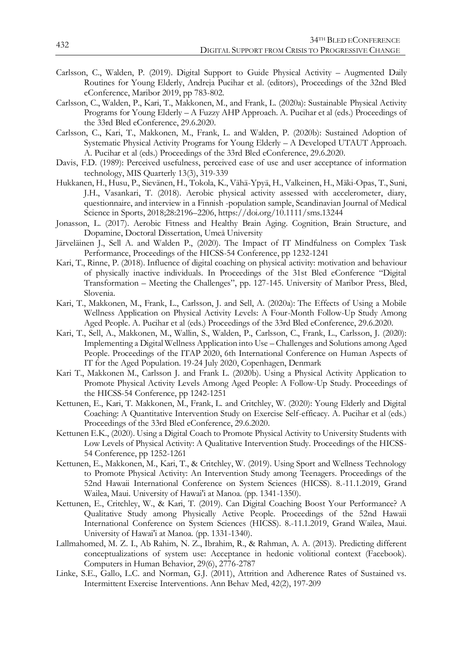- Carlsson, C., Walden, P. (2019). Digital Support to Guide Physical Activity Augmented Daily Routines for Young Elderly, Andreja Pucihar et al. (editors), Proceedings of the 32nd Bled eConference, Maribor 2019, pp 783-802.
- Carlsson, C., Walden, P., Kari, T., Makkonen, M., and Frank, L. (2020a): Sustainable Physical Activity Programs for Young Elderly – A Fuzzy AHP Approach. A. Pucihar et al (eds.) Proceedings of the 33rd Bled eConference, 29.6.2020.
- Carlsson, C., Kari, T., Makkonen, M., Frank, L. and Walden, P. (2020b): Sustained Adoption of Systematic Physical Activity Programs for Young Elderly – A Developed UTAUT Approach. A. Pucihar et al (eds.) Proceedings of the 33rd Bled eConference, 29.6.2020.
- Davis, F.D. (1989): Perceived usefulness, perceived ease of use and user acceptance of information technology, MIS Quarterly 13(3), 319-339
- Hukkanen, H., Husu, P., Sievänen, H., Tokola, K., Vähä-Ypyä, H., Valkeinen, H., Mäki-Opas, T., Suni, J.H., Vasankari, T. (2018). Aerobic physical activity assessed with accelerometer, diary, questionnaire, and interview in a Finnish -population sample, Scandinavian Journal of Medical Science in Sports, 2018;28:2196–2206, https://doi.org/10.1111/sms.13244
- Jonasson, L. (2017). Aerobic Fitness and Healthy Brain Aging. Cognition, Brain Structure, and Dopamine, Doctoral Dissertation, Umeå University
- Järveläinen J., Sell A. and Walden P., (2020). The Impact of IT Mindfulness on Complex Task Performance, Proceedings of the HICSS-54 Conference, pp 1232-1241
- Kari, T., Rinne, P. (2018). Influence of digital coaching on physical activity: motivation and behaviour of physically inactive individuals. In Proceedings of the 31st Bled eConference "Digital Transformation – Meeting the Challenges", pp. 127-145. University of Maribor Press, Bled, Slovenia.
- Kari, T., Makkonen, M., Frank, L., Carlsson, J. and Sell, A. (2020a): The Effects of Using a Mobile Wellness Application on Physical Activity Levels: A Four-Month Follow-Up Study Among Aged People. A. Pucihar et al (eds.) Proceedings of the 33rd Bled eConference, 29.6.2020.
- Kari, T., Sell, A., Makkonen, M., Wallin, S., Walden, P., Carlsson, C., Frank, L., Carlsson, J. (2020): Implementing a Digital Wellness Application into Use – Challenges and Solutions among Aged People. Proceedings of the ITAP 2020, 6th International Conference on Human Aspects of IT for the Aged Population. 19-24 July 2020, Copenhagen, Denmark
- Kari T., Makkonen M., Carlsson J. and Frank L. (2020b). Using a Physical Activity Application to Promote Physical Activity Levels Among Aged People: A Follow-Up Study. Proceedings of the HICSS-54 Conference, pp 1242-1251
- Kettunen, E., Kari, T. Makkonen, M., Frank, L. and Critchley, W. (2020): Young Elderly and Digital Coaching: A Quantitative Intervention Study on Exercise Self-efficacy. A. Pucihar et al (eds.) Proceedings of the 33rd Bled eConference, 29.6.2020.
- Kettunen E.K., (2020). Using a Digital Coach to Promote Physical Activity to University Students with Low Levels of Physical Activity: A Qualitative Intervention Study. Proceedings of the HICSS-54 Conference, pp 1252-1261
- Kettunen, E., Makkonen, M., Kari, T., & Critchley, W. (2019). Using Sport and Wellness Technology to Promote Physical Activity: An Intervention Study among Teenagers. Proceedings of the 52nd Hawaii International Conference on System Sciences (HICSS). 8.-11.1.2019, Grand Wailea, Maui. University of Hawai'i at Manoa. (pp. 1341-1350).
- Kettunen, E., Critchley, W., & Kari, T. (2019). Can Digital Coaching Boost Your Performance? A Qualitative Study among Physically Active People. Proceedings of the 52nd Hawaii International Conference on System Sciences (HICSS). 8.-11.1.2019, Grand Wailea, Maui. University of Hawai'i at Manoa. (pp. 1331-1340).
- Lallmahomed, M. Z. I., Ab Rahim, N. Z., Ibrahim, R., & Rahman, A. A. (2013). Predicting different conceptualizations of system use: Acceptance in hedonic volitional context (Facebook). Computers in Human Behavior, 29(6), 2776-2787
- Linke, S.E., Gallo, L.C. and Norman, G.J. (2011), Attrition and Adherence Rates of Sustained vs. Intermittent Exercise Interventions. Ann Behav Med, 42(2), 197-209